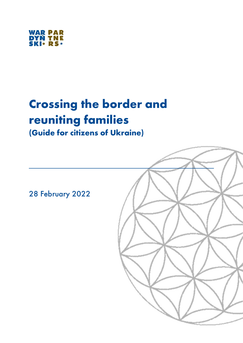

# Crossing the border and reuniting families

(Guide for citizens of Ukraine)

28 February 2022

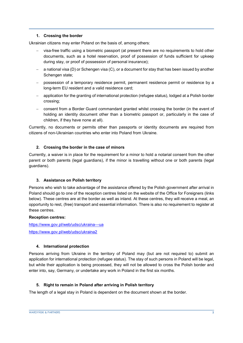#### 1. Crossing the border

Ukrainian citizens may enter Poland on the basis of, among others:

- visa-free traffic using a biometric passport (at present there are no requirements to hold other documents, such as a hotel reservation, proof of possession of funds sufficient for upkeep during stay, or proof of possession of personal insurance);
- $-$  a national visa (D) or Schengen visa (C), or a document for stay that has been issued by another Schengen state;
- possession of a temporary residence permit, permanent residence permit or residence by a long-term EU resident and a valid residence card;
- application for the granting of international protection (refugee status), lodged at a Polish border crossing;
- consent from a Border Guard commandant granted whilst crossing the border (in the event of holding an identity document other than a biometric passport or, particularly in the case of children, if they have none at all).

Currently, no documents or permits other than passports or identity documents are required from citizens of non-Ukrainian countries who enter into Poland from Ukraine.

#### 2. Crossing the border in the case of minors

Currently, a waiver is in place for the requirement for a minor to hold a notarial consent from the other parent or both parents (legal guardians), if the minor is travelling without one or both parents (legal guardians).

#### 3. Assistance on Polish territory

Persons who wish to take advantage of the assistance offered by the Polish government after arrival in Poland should go to one of the reception centres listed on the website of the Office for Foreigners (links below). These centres are at the border as well as inland. At these centres, they will receive a meal, an opportunity to rest, (free) transport and essential information. There is also no requirement to register at these centres.

#### Reception centres:

https://www.gov.pl/web/udsc/ukraina---ua https://www.gov.pl/web/udsc/ukraina2

### 4. International protection

Persons arriving from Ukraine in the territory of Poland may (but are not required to) submit an application for international protection (refugee status). The stay of such persons in Poland will be legal, but while their application is being processed, they will not be allowed to cross the Polish border and enter into, say, Germany, or undertake any work in Poland in the first six months.

#### 5. Right to remain in Poland after arriving in Polish territory

The length of a legal stay in Poland is dependent on the document shown at the border.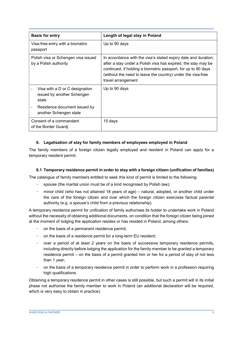| <b>Basis for entry</b>                                                | Length of legal stay in Poland                                                                                                                                                                                                                                                        |
|-----------------------------------------------------------------------|---------------------------------------------------------------------------------------------------------------------------------------------------------------------------------------------------------------------------------------------------------------------------------------|
| Visa-free entry with a biometric<br>passport                          | Up to 90 days                                                                                                                                                                                                                                                                         |
| Polish visa or Schengen visa issued<br>by a Polish authority          | In accordance with the visa's stated expiry date and duration;<br>after a stay under a Polish visa has expired, the stay may be<br>continued, if holding a biometric passport, for up to 90 days<br>(without the need to leave the country) under the visa-free<br>travel arrangement |
| Visa with a D or C designation<br>issued by another Schengen<br>state | Up to 90 days                                                                                                                                                                                                                                                                         |
| Residence document issued by<br>another Schengen state                |                                                                                                                                                                                                                                                                                       |
| Consent of a commandant<br>of the Border Guardi                       | 15 days                                                                                                                                                                                                                                                                               |

### 6. Legalisation of stay for family members of employees employed in Poland

The family members of a foreign citizen legally employed and resident in Poland can apply for a temporary resident permit.

#### 6.1 Temporary residence permit in order to stay with a foreign citizen (unification of families)

The catalogue of family members entitled to seek this kind of permit is limited to the following:

- − spouse (the marital union must be of a kind recognised by Polish law);
- − minor child (who has not attained 18 years of age) natural, adopted, or another child under the care of the foreign citizen and over which the foreign citizen exercises factual parental authority (e.g. a spouse's child from a previous relationship).

A temporary residence permit for unification of family authorises its holder to undertake work in Poland without the necessity of obtaining additional documents, on condition that the foreign citizen being joined at the moment of lodging the application resides or has resided in Poland, among others:

- − on the basis of a permanent residence permit;
- − on the basis of a residence permit for a long-term EU resident;
- − over a period of at least 2 years on the basis of successive temporary residence permits, including directly before lodging the application for the family member to be granted a temporary residence permit – on the basis of a permit granted him or her for a period of stay of not less than 1 year;
- on the basis of a temporary residence permit in order to perform work in a profession requiring high qualifications.

Obtaining a temporary residence permit in other cases is still possible, but such a permit will in its initial phase not authorise the family member to work in Poland (an additional declaration will be required, which is very easy to obtain in practice).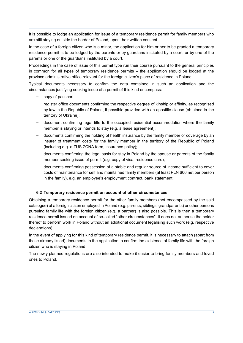It is possible to lodge an application for issue of a temporary residence permit for family members who are still staying outside the border of Poland, upon their written consent.

In the case of a foreign citizen who is a minor, the application for him or her to be granted a temporary residence permit is to be lodged by the parents or by guardians instituted by a court, or by one of the parents or one of the guardians instituted by a court.

Proceedings in the case of issue of this permit type run their course pursuant to the general principles in common for all types of temporary residence permits – the application should be lodged at the province administrative office relevant for the foreign citizen's place of residence in Poland.

Typical documents necessary to confirm the data contained in such an application and the circumstances justifying seeking issue of a permit of this kind encompass:

- − copy of passport
- − register office documents confirming the respective degree of kinship or affinity, as recognised by law in the Republic of Poland, if possible provided with an apostille clause (obtained in the territory of Ukraine);
- − document confirming legal title to the occupied residential accommodation where the family member is staying or intends to stay (e.g. a lease agreement);
- − documents confirming the holding of health insurance by the family member or coverage by an insurer of treatment costs for the family member in the territory of the Republic of Poland (including e.g. a ZUS ZCNA form, insurance policy);
- − documents confirming the legal basis for stay in Poland by the spouse or parents of the family member seeking issue of permit (e.g. copy of visa, residence card);
- − documents confirming possession of a stable and regular source of income sufficient to cover costs of maintenance for self and maintained family members (at least PLN 600 net per person in the family), e.g. an employee's employment contract, bank statement.

#### 6.2 Temporary residence permit on account of other circumstances

Obtaining a temporary residence permit for the other family members (not encompassed by the said catalogue) of a foreign citizen employed in Poland (e.g. parents, siblings, grandparents) or other persons pursuing family life with the foreign citizen (e.g. a partner) is also possible. This is then a temporary residence permit issued on account of so-called "other circumstances". It does not authorise the holder thereof to perform work in Poland without an additional document legalising such work (e.g. respective declarations).

In the event of applying for this kind of temporary residence permit, it is necessary to attach (apart from those already listed) documents to the application to confirm the existence of family life with the foreign citizen who is staying in Poland.

The newly planned regulations are also intended to make it easier to bring family members and loved ones to Poland.